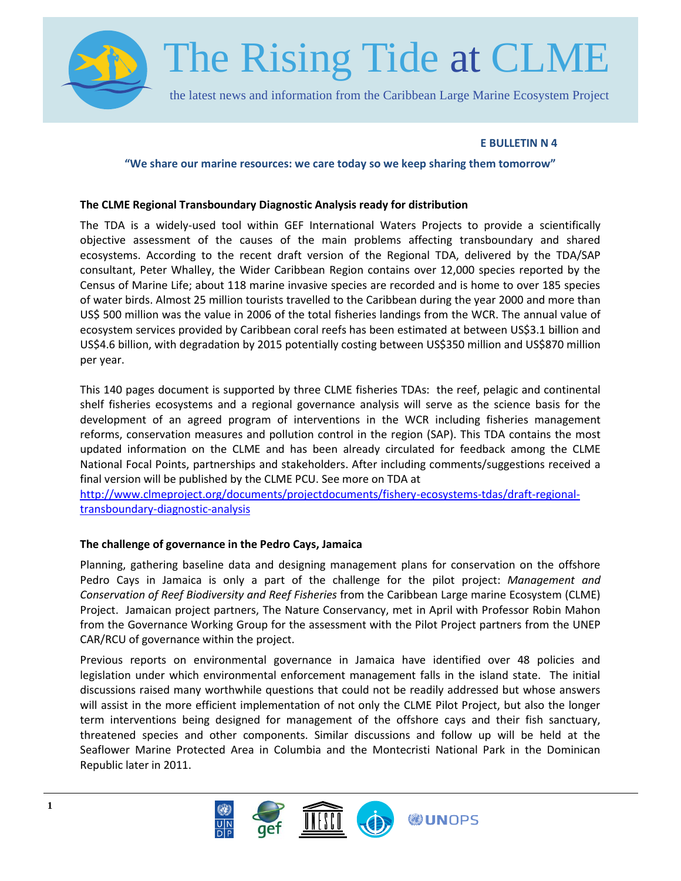

## **E BULLETIN N 4**

#### **"We share our marine resources: we care today so we keep sharing them tomorrow"**

#### **The CLME Regional Transboundary Diagnostic Analysis ready for distribution**

The TDA is a widely-used tool within GEF International Waters Projects to provide a scientifically objective assessment of the causes of the main problems affecting transboundary and shared ecosystems. According to the recent draft version of the Regional TDA, delivered by the TDA/SAP consultant, Peter Whalley, the Wider Caribbean Region contains over 12,000 species reported by the Census of Marine Life; about 118 marine invasive species are recorded and is home to over 185 species of water birds. Almost 25 million tourists travelled to the Caribbean during the year 2000 and more than US\$ 500 million was the value in 2006 of the total fisheries landings from the WCR. The annual value of ecosystem services provided by Caribbean coral reefs has been estimated at between US\$3.1 billion and US\$4.6 billion, with degradation by 2015 potentially costing between US\$350 million and US\$870 million per year.

This 140 pages document is supported by three CLME fisheries TDAs: the reef, pelagic and continental shelf fisheries ecosystems and a regional governance analysis will serve as the science basis for the development of an agreed program of interventions in the WCR including fisheries management reforms, conservation measures and pollution control in the region (SAP). This TDA contains the most updated information on the CLME and has been already circulated for feedback among the CLME National Focal Points, partnerships and stakeholders. After including comments/suggestions received a final version will be published by the CLME PCU. See more on TDA at

[http://www.clmeproject.org/documents/projectdocuments/fishery-ecosystems-tdas/draft-regional](http://www.clmeproject.org/documents/projectdocuments/fishery-ecosystems-tdas/draft-regional-transboundary-diagnostic-analysis)[transboundary-diagnostic-analysis](http://www.clmeproject.org/documents/projectdocuments/fishery-ecosystems-tdas/draft-regional-transboundary-diagnostic-analysis)

## **The challenge of governance in the Pedro Cays, Jamaica**

Planning, gathering baseline data and designing management plans for conservation on the offshore Pedro Cays in Jamaica is only a part of the challenge for the pilot project: *Management and Conservation of Reef Biodiversity and Reef Fisheries* from the Caribbean Large marine Ecosystem (CLME) Project. Jamaican project partners, The Nature Conservancy, met in April with Professor Robin Mahon from the Governance Working Group for the assessment with the Pilot Project partners from the UNEP CAR/RCU of governance within the project.

Previous reports on environmental governance in Jamaica have identified over 48 policies and legislation under which environmental enforcement management falls in the island state. The initial discussions raised many worthwhile questions that could not be readily addressed but whose answers will assist in the more efficient implementation of not only the CLME Pilot Project, but also the longer term interventions being designed for management of the offshore cays and their fish sanctuary, threatened species and other components. Similar discussions and follow up will be held at the Seaflower Marine Protected Area in Columbia and the Montecristi National Park in the Dominican Republic later in 2011.

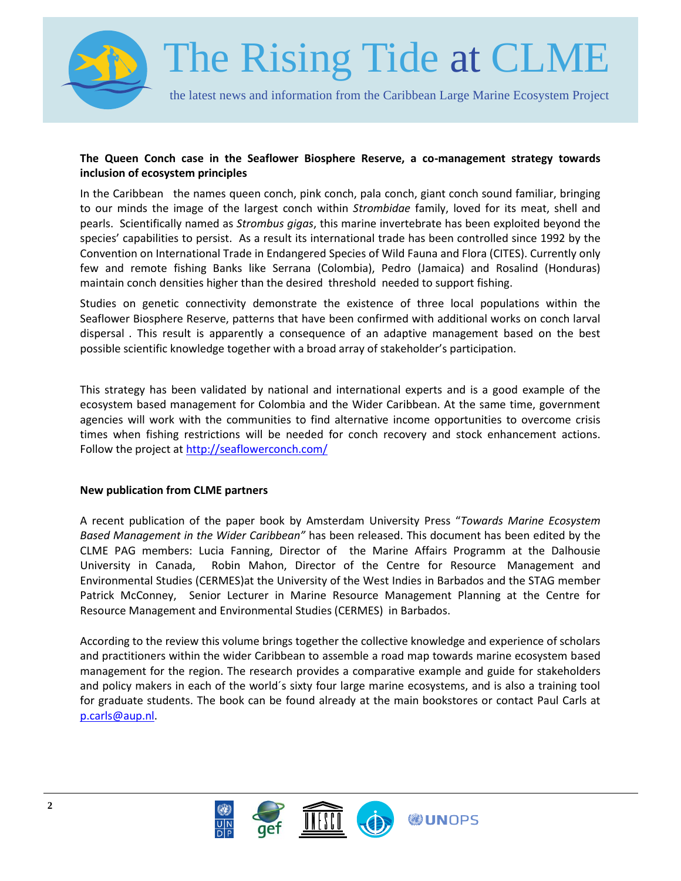

## **The Queen Conch case in the Seaflower Biosphere Reserve, a co-management strategy towards inclusion of ecosystem principles**

In the Caribbean the names queen conch, pink conch, pala conch, giant conch sound familiar, bringing to our minds the image of the largest conch within *Strombidae* family, loved for its meat, shell and pearls. Scientifically named as *Strombus gigas*, this marine invertebrate has been exploited beyond the species' capabilities to persist. As a result its international trade has been controlled since 1992 by the Convention on International Trade in Endangered Species of Wild Fauna and Flora (CITES). Currently only few and remote fishing Banks like Serrana (Colombia), Pedro (Jamaica) and Rosalind (Honduras) maintain conch densities higher than the desired threshold needed to support fishing.

Studies on genetic connectivity demonstrate the existence of three local populations within the Seaflower Biosphere Reserve, patterns that have been confirmed with additional works on conch larval dispersal . This result is apparently a consequence of an adaptive management based on the best possible scientific knowledge together with a broad array of stakeholder's participation.

This strategy has been validated by national and international experts and is a good example of the ecosystem based management for Colombia and the Wider Caribbean. At the same time, government agencies will work with the communities to find alternative income opportunities to overcome crisis times when fishing restrictions will be needed for conch recovery and stock enhancement actions. Follow the project at<http://seaflowerconch.com/>

## **New publication from CLME partners**

A recent publication of the paper book by Amsterdam University Press "*Towards Marine Ecosystem Based Management in the Wider Caribbean"* has been released. This document has been edited by the CLME PAG members: Lucia Fanning, Director of the Marine Affairs Programm at the Dalhousie University in Canada, Robin Mahon, Director of the Centre for Resource Management and Environmental Studies (CERMES)at the University of the West Indies in Barbados and the STAG member Patrick McConney, Senior Lecturer in Marine Resource Management Planning at the Centre for Resource Management and Environmental Studies (CERMES) in Barbados.

According to the review this volume brings together the collective knowledge and experience of scholars and practitioners within the wider Caribbean to assemble a road map towards marine ecosystem based management for the region. The research provides a comparative example and guide for stakeholders and policy makers in each of the world´s sixty four large marine ecosystems, and is also a training tool for graduate students. The book can be found already at the main bookstores or contact Paul Carls at [p.carls@aup.nl.](mailto:p.carls@aup.nl?subject=Ocean%20Governance%20in%20the%20Wider%20Carribean%20Region)

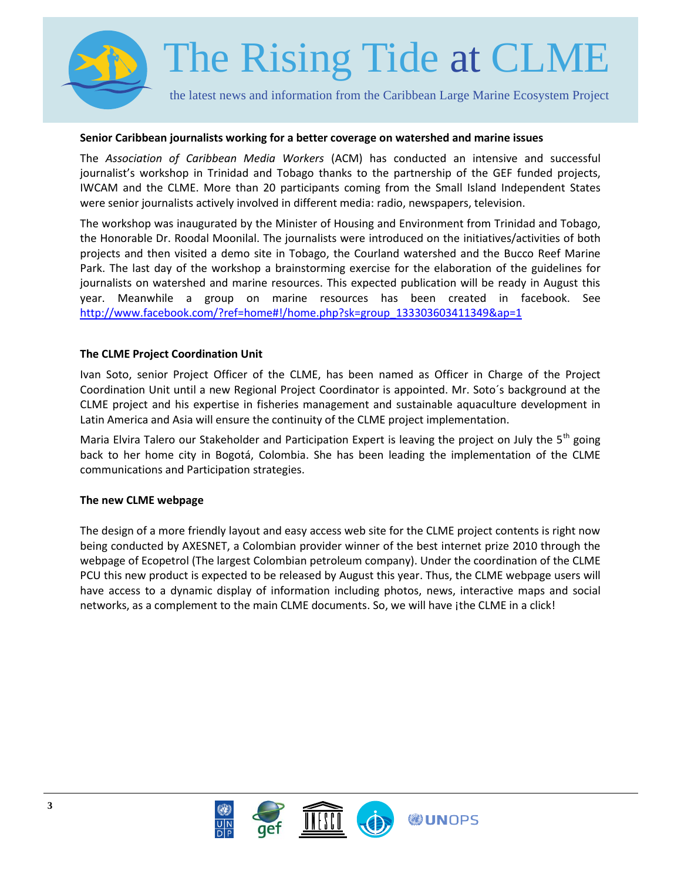

#### **Senior Caribbean journalists working for a better coverage on watershed and marine issues**

The *Association of Caribbean Media Workers* (ACM) has conducted an intensive and successful journalist's workshop in Trinidad and Tobago thanks to the partnership of the GEF funded projects, IWCAM and the CLME. More than 20 participants coming from the Small Island Independent States were senior journalists actively involved in different media: radio, newspapers, television.

The workshop was inaugurated by the Minister of Housing and Environment from Trinidad and Tobago, the Honorable Dr. Roodal Moonilal. The journalists were introduced on the initiatives/activities of both projects and then visited a demo site in Tobago, the Courland watershed and the Bucco Reef Marine Park. The last day of the workshop a brainstorming exercise for the elaboration of the guidelines for journalists on watershed and marine resources. This expected publication will be ready in August this year. Meanwhile a group on marine resources has been created in facebook. See [http://www.facebook.com/?ref=home#!/home.php?sk=group\\_133303603411349&ap=1](http://www.facebook.com/?ref=home#!/home.php?sk=group_133303603411349&ap=1)

## **The CLME Project Coordination Unit**

Ivan Soto, senior Project Officer of the CLME, has been named as Officer in Charge of the Project Coordination Unit until a new Regional Project Coordinator is appointed. Mr. Soto´s background at the CLME project and his expertise in fisheries management and sustainable aquaculture development in Latin America and Asia will ensure the continuity of the CLME project implementation.

Maria Elvira Talero our Stakeholder and Participation Expert is leaving the project on July the 5<sup>th</sup> going back to her home city in Bogotá, Colombia. She has been leading the implementation of the CLME communications and Participation strategies.

## **The new CLME webpage**

The design of a more friendly layout and easy access web site for the CLME project contents is right now being conducted by AXESNET, a Colombian provider winner of the best internet prize 2010 through the webpage of Ecopetrol (The largest Colombian petroleum company). Under the coordination of the CLME PCU this new product is expected to be released by August this year. Thus, the CLME webpage users will have access to a dynamic display of information including photos, news, interactive maps and social networks, as a complement to the main CLME documents. So, we will have jthe CLME in a click!